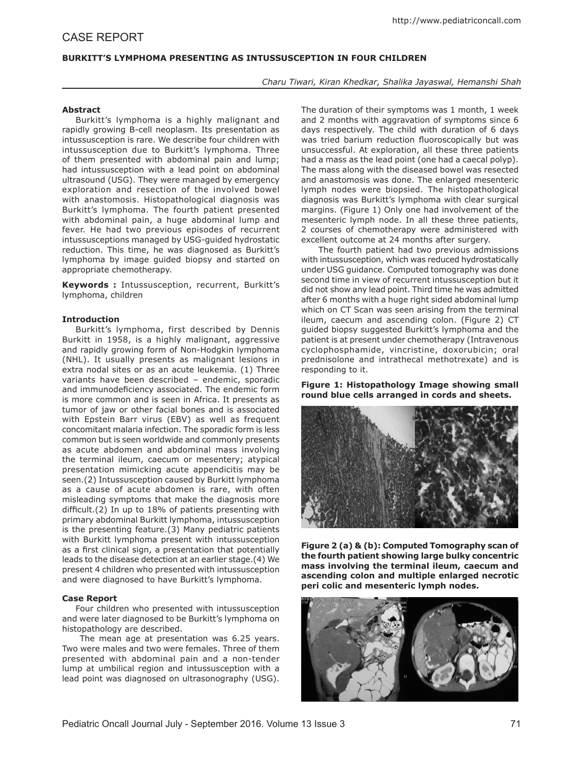# **BURKITT'S LYMPHOMA PRESENTING AS INTUSSUSCEPTION IN FOUR CHILDREN**

## *Charu Tiwari, Kiran Khedkar, Shalika Jayaswal, Hemanshi Shah*

### **Abstract**

Burkitt's lymphoma is a highly malignant and rapidly growing B-cell neoplasm. Its presentation as intussusception is rare. We describe four children with intussusception due to Burkitt's lymphoma. Three of them presented with abdominal pain and lump; had intussusception with a lead point on abdominal ultrasound (USG). They were managed by emergency exploration and resection of the involved bowel with anastomosis. Histopathological diagnosis was Burkitt's lymphoma. The fourth patient presented with abdominal pain, a huge abdominal lump and fever. He had two previous episodes of recurrent intussusceptions managed by USG-guided hydrostatic reduction. This time, he was diagnosed as Burkitt's lymphoma by image guided biopsy and started on appropriate chemotherapy.

**Keywords :** Intussusception, recurrent, Burkitt's lymphoma, children

## **Introduction**

Burkitt's lymphoma, first described by Dennis Burkitt in 1958, is a highly malignant, aggressive and rapidly growing form of Non-Hodgkin lymphoma (NHL). It usually presents as malignant lesions in extra nodal sites or as an acute leukemia. (1) Three variants have been described – endemic, sporadic and immunodeficiency associated. The endemic form is more common and is seen in Africa. It presents as tumor of jaw or other facial bones and is associated with Epstein Barr virus (EBV) as well as frequent concomitant malaria infection. The sporadic form is less common but is seen worldwide and commonly presents as acute abdomen and abdominal mass involving the terminal ileum, caecum or mesentery; atypical presentation mimicking acute appendicitis may be seen.(2) Intussusception caused by Burkitt lymphoma as a cause of acute abdomen is rare, with often misleading symptoms that make the diagnosis more difficult.(2) In up to 18% of patients presenting with primary abdominal Burkitt lymphoma, intussusception is the presenting feature.(3) Many pediatric patients with Burkitt lymphoma present with intussusception as a first clinical sign, a presentation that potentially leads to the disease detection at an earlier stage.(4) We present 4 children who presented with intussusception and were diagnosed to have Burkitt's lymphoma.

#### **Case Report**

Four children who presented with intussusception and were later diagnosed to be Burkitt's lymphoma on histopathology are described.

 The mean age at presentation was 6.25 years. Two were males and two were females. Three of them presented with abdominal pain and a non-tender lump at umbilical region and intussusception with a lead point was diagnosed on ultrasonography (USG).

The duration of their symptoms was 1 month, 1 week and 2 months with aggravation of symptoms since 6 days respectively. The child with duration of 6 days was tried barium reduction fluoroscopically but was unsuccessful. At exploration, all these three patients had a mass as the lead point (one had a caecal polyp). The mass along with the diseased bowel was resected and anastomosis was done. The enlarged mesenteric lymph nodes were biopsied. The histopathological diagnosis was Burkitt's lymphoma with clear surgical margins. (Figure 1) Only one had involvement of the mesenteric lymph node. In all these three patients, 2 courses of chemotherapy were administered with excellent outcome at 24 months after surgery.

 The fourth patient had two previous admissions with intussusception, which was reduced hydrostatically under USG guidance. Computed tomography was done second time in view of recurrent intussusception but it did not show any lead point. Third time he was admitted after 6 months with a huge right sided abdominal lump which on CT Scan was seen arising from the terminal ileum, caecum and ascending colon. (Figure 2) CT guided biopsy suggested Burkitt's lymphoma and the patient is at present under chemotherapy (Intravenous cyclophosphamide, vincristine, doxorubicin; oral prednisolone and intrathecal methotrexate) and is responding to it.

**Figure 1: Histopathology Image showing small round blue cells arranged in cords and sheets.**



**Figure 2 (a) & (b): Computed Tomography scan of the fourth patient showing large bulky concentric mass involving the terminal ileum, caecum and ascending colon and multiple enlarged necrotic peri colic and mesenteric lymph nodes.**

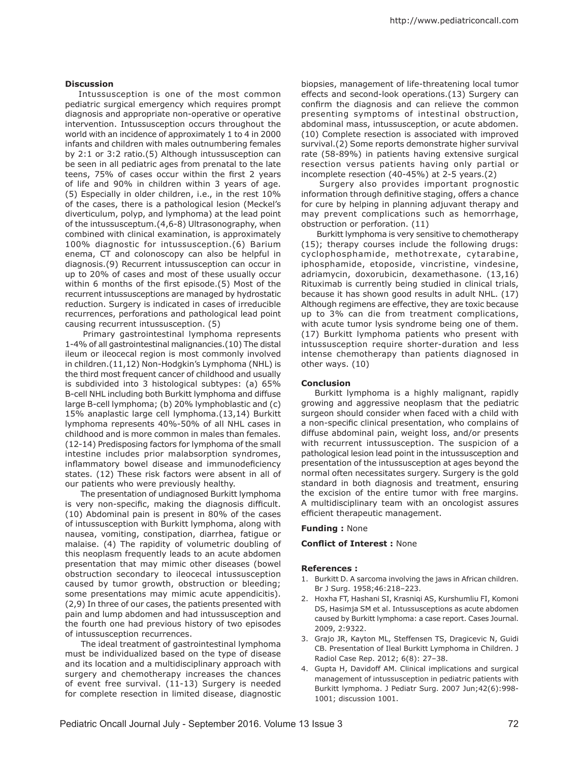### **Discussion**

Intussusception is one of the most common pediatric surgical emergency which requires prompt diagnosis and appropriate non-operative or operative intervention. Intussusception occurs throughout the world with an incidence of approximately 1 to 4 in 2000 infants and children with males outnumbering females by 2:1 or 3:2 ratio.(5) Although intussusception can be seen in all pediatric ages from prenatal to the late teens, 75% of cases occur within the first 2 years of life and 90% in children within 3 years of age. (5) Especially in older children, i.e., in the rest 10% of the cases, there is a pathological lesion (Meckel's diverticulum, polyp, and lymphoma) at the lead point of the intussusceptum.(4,6-8) Ultrasonography, when combined with clinical examination, is approximately 100% diagnostic for intussusception.(6) Barium enema, CT and colonoscopy can also be helpful in diagnosis.(9) Recurrent intussusception can occur in up to 20% of cases and most of these usually occur within 6 months of the first episode.(5) Most of the recurrent intussusceptions are managed by hydrostatic reduction. Surgery is indicated in cases of irreducible recurrences, perforations and pathological lead point causing recurrent intussusception. (5)

 Primary gastrointestinal lymphoma represents 1-4% of all gastrointestinal malignancies.(10) The distal ileum or ileocecal region is most commonly involved in children.(11,12) Non-Hodgkin's Lymphoma (NHL) is the third most frequent cancer of childhood and usually is subdivided into 3 histological subtypes: (a) 65% B-cell NHL including both Burkitt lymphoma and diffuse large B-cell lymphoma; (b) 20% lymphoblastic and (c) 15% anaplastic large cell lymphoma.(13,14) Burkitt lymphoma represents 40%-50% of all NHL cases in childhood and is more common in males than females. (12-14) Predisposing factors for lymphoma of the small intestine includes prior malabsorption syndromes, inflammatory bowel disease and immunodeficiency states. (12) These risk factors were absent in all of our patients who were previously healthy.

 The presentation of undiagnosed Burkitt lymphoma is very non-specific, making the diagnosis difficult. (10) Abdominal pain is present in 80% of the cases of intussusception with Burkitt lymphoma, along with nausea, vomiting, constipation, diarrhea, fatigue or malaise. (4) The rapidity of volumetric doubling of this neoplasm frequently leads to an acute abdomen presentation that may mimic other diseases (bowel obstruction secondary to ileocecal intussusception caused by tumor growth, obstruction or bleeding; some presentations may mimic acute appendicitis). (2,9) In three of our cases, the patients presented with pain and lump abdomen and had intussusception and the fourth one had previous history of two episodes of intussusception recurrences.

 The ideal treatment of gastrointestinal lymphoma must be individualized based on the type of disease and its location and a multidisciplinary approach with surgery and chemotherapy increases the chances of event free survival. (11-13) Surgery is needed for complete resection in limited disease, diagnostic biopsies, management of life-threatening local tumor effects and second-look operations.(13) Surgery can confirm the diagnosis and can relieve the common presenting symptoms of intestinal obstruction, abdominal mass, intussusception, or acute abdomen. (10) Complete resection is associated with improved survival.(2) Some reports demonstrate higher survival rate (58-89%) in patients having extensive surgical resection versus patients having only partial or incomplete resection (40-45%) at 2-5 years.(2)

 Surgery also provides important prognostic information through definitive staging, offers a chance for cure by helping in planning adjuvant therapy and may prevent complications such as hemorrhage, obstruction or perforation. (11)

 Burkitt lymphoma is very sensitive to chemotherapy (15); therapy courses include the following drugs: cyclophosphamide, methotrexate, cytarabine, iphosphamide, etoposide, vincristine, vindesine, adriamycin, doxorubicin, dexamethasone. (13,16) Rituximab is currently being studied in clinical trials, because it has shown good results in adult NHL. (17) Although regimens are effective, they are toxic because up to 3% can die from treatment complications, with acute tumor lysis syndrome being one of them. (17) Burkitt lymphoma patients who present with intussusception require shorter-duration and less intense chemotherapy than patients diagnosed in other ways. (10)

#### **Conclusion**

Burkitt lymphoma is a highly malignant, rapidly growing and aggressive neoplasm that the pediatric surgeon should consider when faced with a child with a non-specific clinical presentation, who complains of diffuse abdominal pain, weight loss, and/or presents with recurrent intussusception. The suspicion of a pathological lesion lead point in the intussusception and presentation of the intussusception at ages beyond the normal often necessitates surgery. Surgery is the gold standard in both diagnosis and treatment, ensuring the excision of the entire tumor with free margins. A multidisciplinary team with an oncologist assures efficient therapeutic management.

#### **Funding :** None

### **Conflict of Interest :** None

#### **References :**

- 1. Burkitt D. A sarcoma involving the jaws in African children. Br J Surg. 1958;46:218–223.
- 2. Hoxha FT, Hashani SI, Krasniqi AS, Kurshumliu FI, Komoni DS, Hasimja SM et al. Intussusceptions as acute abdomen caused by Burkitt lymphoma: a case report. Cases Journal. 2009, 2:9322.
- 3. Grajo JR, Kayton ML, Steffensen TS, Dragicevic N, Guidi CB. Presentation of Ileal Burkitt Lymphoma in Children. J Radiol Case Rep. 2012; 6(8): 27–38.
- 4. Gupta H, Davidoff AM. Clinical implications and surgical management of intussusception in pediatric patients with Burkitt lymphoma. J Pediatr Surg. 2007 Jun;42(6):998- 1001; discussion 1001.